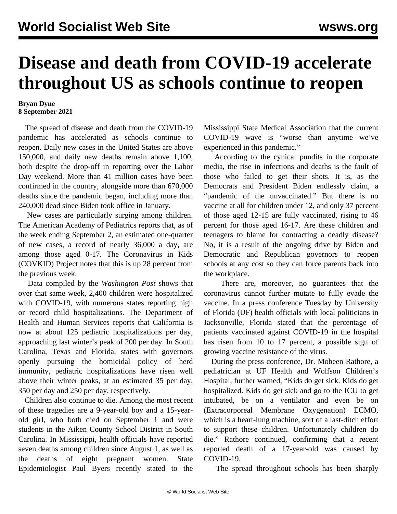## **Disease and death from COVID-19 accelerate throughout US as schools continue to reopen**

## **Bryan Dyne 8 September 2021**

 The spread of disease and death from the COVID-19 pandemic has accelerated as schools continue to reopen. Daily new cases in the United States are above 150,000, and daily new deaths remain above 1,100, both despite the drop-off in reporting over the Labor Day weekend. More than 41 million cases have been confirmed in the country, alongside more than 670,000 deaths since the pandemic began, including more than 240,000 dead since Biden took office in January.

 New cases are particularly surging among children. The American Academy of Pediatrics reports that, as of the week ending September 2, an estimated one-quarter of new cases, a record of nearly 36,000 a day, are among those aged 0-17. The Coronavirus in Kids (COVKID) Project notes that this is up 28 percent from the previous week.

 Data compiled by the *Washington Post* shows that over that same week, 2,400 children were hospitalized with COVID-19, with numerous states reporting high or record child hospitalizations. The Department of Health and Human Services reports that California is now at about 125 pediatric hospitalizations per day, approaching last winter's peak of 200 per day. In South Carolina, Texas and Florida, states with governors openly pursuing the homicidal policy of herd immunity, pediatric hospitalizations have risen well above their winter peaks, at an estimated 35 per day, 350 per day and 250 per day, respectively.

 Children also continue to die. Among the most recent of these tragedies are a 9-year-old boy and a 15-yearold girl, who both died on September 1 and were students in the Aiken County School District in South Carolina. In Mississippi, health officials have reported seven deaths among children since August 1, as well as the deaths of eight pregnant women. State Epidemiologist Paul Byers recently stated to the Mississippi State Medical Association that the current COVID-19 wave is "worse than anytime we've experienced in this pandemic."

 According to the cynical pundits in the corporate media, the rise in infections and deaths is the fault of those who failed to get their shots. It is, as the Democrats and President Biden endlessly claim, a "pandemic of the unvaccinated." But there is no vaccine at all for children under 12, and only 37 percent of those aged 12-15 are fully vaccinated, rising to 46 percent for those aged 16-17. Are these children and teenagers to blame for contracting a deadly disease? No, it is a result of the ongoing drive by Biden and Democratic and Republican governors to reopen schools at any cost so they can force parents back into the workplace.

 There are, moreover, no guarantees that the coronavirus cannot further mutate to fully evade the vaccine. In a press conference Tuesday by University of Florida (UF) health officials with local politicians in Jacksonville, Florida stated that the percentage of patients vaccinated against COVID-19 in the hospital has risen from 10 to 17 percent, a possible sign of growing vaccine resistance of the virus.

 During the press conference, Dr. Mobeen Rathore, a pediatrician at UF Health and Wolfson Children's Hospital, further warned, "Kids do get sick. Kids do get hospitalized. Kids do get sick and go to the ICU to get intubated, be on a ventilator and even be on (Extracorporeal Membrane Oxygenation) ECMO, which is a heart-lung machine, sort of a last-ditch effort to support these children. Unfortunately children do die." Rathore continued, confirming that a recent reported death of a 17-year-old was caused by COVID-19.

The spread throughout schools has been sharply